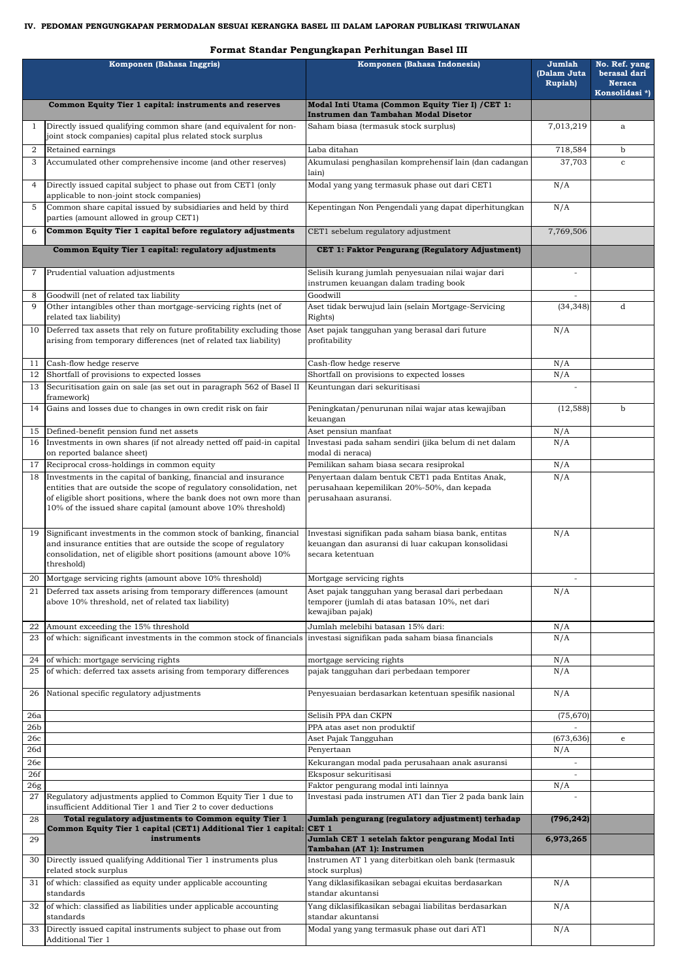## **IV. PEDOMAN PENGUNGKAPAN PERMODALAN SESUAI KERANGKA BASEL III DALAM LAPORAN PUBLIKASI TRIWULANAN**

|                 | Komponen (Bahasa Inggris)                                                                                                              | Komponen (Bahasa Indonesia)                                                                              | Jumlah<br>(Dalam Juta<br><b>Rupiah</b> ) | No. Ref. yang<br>berasal dari<br><b>Neraca</b><br>Konsolidasi*) |
|-----------------|----------------------------------------------------------------------------------------------------------------------------------------|----------------------------------------------------------------------------------------------------------|------------------------------------------|-----------------------------------------------------------------|
|                 | Common Equity Tier 1 capital: instruments and reserves                                                                                 | Modal Inti Utama (Common Equity Tier I) / CET 1:                                                         |                                          |                                                                 |
|                 |                                                                                                                                        | Instrumen dan Tambahan Modal Disetor                                                                     |                                          |                                                                 |
| -1              | Directly issued qualifying common share (and equivalent for non-<br>joint stock companies) capital plus related stock surplus          | Saham biasa (termasuk stock surplus)                                                                     | 7,013,219                                | a                                                               |
| 2               | Retained earnings                                                                                                                      | Laba ditahan                                                                                             | 718,584                                  | b                                                               |
| 3               | Accumulated other comprehensive income (and other reserves)                                                                            | Akumulasi penghasilan komprehensif lain (dan cadangan                                                    | 37,703                                   | $\mathbf{C}$                                                    |
|                 |                                                                                                                                        | lain)                                                                                                    |                                          |                                                                 |
| $\overline{4}$  | Directly issued capital subject to phase out from CET1 (only<br>applicable to non-joint stock companies)                               | Modal yang yang termasuk phase out dari CET1                                                             | N/A                                      |                                                                 |
| 5               | Common share capital issued by subsidiaries and held by third<br>parties (amount allowed in group CET1)                                | Kepentingan Non Pengendali yang dapat diperhitungkan                                                     | N/A                                      |                                                                 |
| 6               | Common Equity Tier 1 capital before regulatory adjustments                                                                             | CET1 sebelum regulatory adjustment                                                                       | 7,769,506                                |                                                                 |
|                 | Common Equity Tier 1 capital: regulatory adjustments                                                                                   | CET 1: Faktor Pengurang (Regulatory Adjustment)                                                          |                                          |                                                                 |
| 7               | Prudential valuation adjustments                                                                                                       | Selisih kurang jumlah penyesuaian nilai wajar dari                                                       |                                          |                                                                 |
|                 |                                                                                                                                        | instrumen keuangan dalam trading book                                                                    |                                          |                                                                 |
| 8               | Goodwill (net of related tax liability                                                                                                 | Goodwill                                                                                                 |                                          |                                                                 |
| 9               | Other intangibles other than mortgage-servicing rights (net of<br>related tax liability)                                               | Aset tidak berwujud lain (selain Mortgage-Servicing<br>Rights)                                           | (34, 348)                                | <sub>d</sub>                                                    |
| 10              | Deferred tax assets that rely on future profitability excluding those                                                                  | Aset pajak tangguhan yang berasal dari future                                                            | N/A                                      |                                                                 |
|                 | arising from temporary differences (net of related tax liability)                                                                      | profitability                                                                                            |                                          |                                                                 |
| 11              | Cash-flow hedge reserve                                                                                                                | Cash-flow hedge reserve                                                                                  | N/A                                      |                                                                 |
| 12              | Shortfall of provisions to expected losses                                                                                             | Shortfall on provisions to expected losses                                                               | N/A                                      |                                                                 |
| 13              | Securitisation gain on sale (as set out in paragraph 562 of Basel II                                                                   | Keuntungan dari sekuritisasi                                                                             |                                          |                                                                 |
|                 | framework)                                                                                                                             |                                                                                                          |                                          |                                                                 |
| 14              | Gains and losses due to changes in own credit risk on fair                                                                             | Peningkatan/penurunan nilai wajar atas kewajiban<br>keuangan                                             | (12, 588)                                | $\mathbf b$                                                     |
| 15              | Defined-benefit pension fund net assets                                                                                                | Aset pensiun manfaat                                                                                     | N/A                                      |                                                                 |
| 16              | Investments in own shares (if not already netted off paid-in capital                                                                   | Investasi pada saham sendiri (jika belum di net dalam                                                    | N/A                                      |                                                                 |
|                 | on reported balance sheet)                                                                                                             | modal di neraca)                                                                                         |                                          |                                                                 |
| 17              | Reciprocal cross-holdings in common equity                                                                                             | Pemilikan saham biasa secara resiprokal                                                                  | N/A                                      |                                                                 |
| 18              | Investments in the capital of banking, financial and insurance<br>entities that are outside the scope of regulatory consolidation, net | Penyertaan dalam bentuk CET1 pada Entitas Anak,<br>perusahaan kepemilikan 20%-50%, dan kepada            | N/A                                      |                                                                 |
|                 | of eligible short positions, where the bank does not own more than                                                                     | perusahaan asuransi.                                                                                     |                                          |                                                                 |
|                 | 10% of the issued share capital (amount above 10% threshold)                                                                           |                                                                                                          |                                          |                                                                 |
|                 |                                                                                                                                        |                                                                                                          |                                          |                                                                 |
| 19              | Significant investments in the common stock of banking, financial<br>and insurance entities that are outside the scope of regulatory   | Investasi signifikan pada saham biasa bank, entitas<br>keuangan dan asuransi di luar cakupan konsolidasi | N/A                                      |                                                                 |
|                 | consolidation, net of eligible short positions (amount above 10%                                                                       | secara ketentuan                                                                                         |                                          |                                                                 |
|                 | threshold)                                                                                                                             |                                                                                                          |                                          |                                                                 |
| 20              | Mortgage servicing rights (amount above 10% threshold)                                                                                 | Mortgage servicing rights                                                                                |                                          |                                                                 |
| 21              | Deferred tax assets arising from temporary differences (amount                                                                         | Aset pajak tangguhan yang berasal dari perbedaan                                                         | N/A                                      |                                                                 |
|                 | above 10% threshold, net of related tax liability)                                                                                     | temporer (jumlah di atas batasan 10%, net dari<br>kewajiban pajak)                                       |                                          |                                                                 |
| 22              | Amount exceeding the 15% threshold                                                                                                     | Jumlah melebihi batasan 15% dari:                                                                        | N/A                                      |                                                                 |
| 23              | of which: significant investments in the common stock of financials investasi signifikan pada saham biasa financials                   |                                                                                                          | N/A                                      |                                                                 |
|                 |                                                                                                                                        |                                                                                                          |                                          |                                                                 |
| 24<br>25        | of which: mortgage servicing rights<br>of which: deferred tax assets arising from temporary differences                                | mortgage servicing rights<br>pajak tangguhan dari perbedaan temporer                                     | N/A<br>N/A                               |                                                                 |
|                 |                                                                                                                                        |                                                                                                          |                                          |                                                                 |
| 26              | National specific regulatory adjustments                                                                                               | Penyesuaian berdasarkan ketentuan spesifik nasional                                                      | N/A                                      |                                                                 |
| 26a             |                                                                                                                                        | Selisih PPA dan CKPN                                                                                     | (75, 670)                                |                                                                 |
| 26 <sub>b</sub> |                                                                                                                                        | PPA atas aset non produktif                                                                              |                                          |                                                                 |
| 26c             |                                                                                                                                        | Aset Pajak Tangguhan                                                                                     | (673, 636)                               | e                                                               |
| 26d             |                                                                                                                                        | Penyertaan                                                                                               | N/A                                      |                                                                 |
| 26e             |                                                                                                                                        | Kekurangan modal pada perusahaan anak asuransi                                                           |                                          |                                                                 |
| 26f             |                                                                                                                                        | Eksposur sekuritisasi<br>Faktor pengurang modal inti lainnya                                             | N/A                                      |                                                                 |
| $26\mathrm{g}$  | 27 Regulatory adjustments applied to Common Equity Tier 1 due to                                                                       | Investasi pada instrumen AT1 dan Tier 2 pada bank lain                                                   |                                          |                                                                 |
|                 | insufficient Additional Tier 1 and Tier 2 to cover deductions                                                                          |                                                                                                          |                                          |                                                                 |
| 28              | Total regulatory adjustments to Common equity Tier 1<br>Common Equity Tier 1 capital (CET1) Additional Tier 1 capital: CET 1           | Jumlah pengurang (regulatory adjustment) terhadap                                                        | (796, 242)                               |                                                                 |
| 29              | instruments                                                                                                                            | Jumlah CET 1 setelah faktor pengurang Modal Inti<br>Tambahan (AT 1): Instrumen                           | 6,973,265                                |                                                                 |
| 30              | Directly issued qualifying Additional Tier 1 instruments plus<br>related stock surplus                                                 | Instrumen AT 1 yang diterbitkan oleh bank (termasuk<br>stock surplus)                                    |                                          |                                                                 |
| 31              | of which: classified as equity under applicable accounting<br>standards                                                                | Yang diklasifikasikan sebagai ekuitas berdasarkan<br>standar akuntansi                                   | N/A                                      |                                                                 |
| 32              | of which: classified as liabilities under applicable accounting                                                                        | Yang diklasifikasikan sebagai liabilitas berdasarkan                                                     | N/A                                      |                                                                 |
|                 | standards<br>33 Directly issued capital instruments subject to phase out from                                                          | standar akuntansi<br>Modal yang yang termasuk phase out dari AT1                                         | N/A                                      |                                                                 |
|                 | Additional Tier 1                                                                                                                      |                                                                                                          |                                          |                                                                 |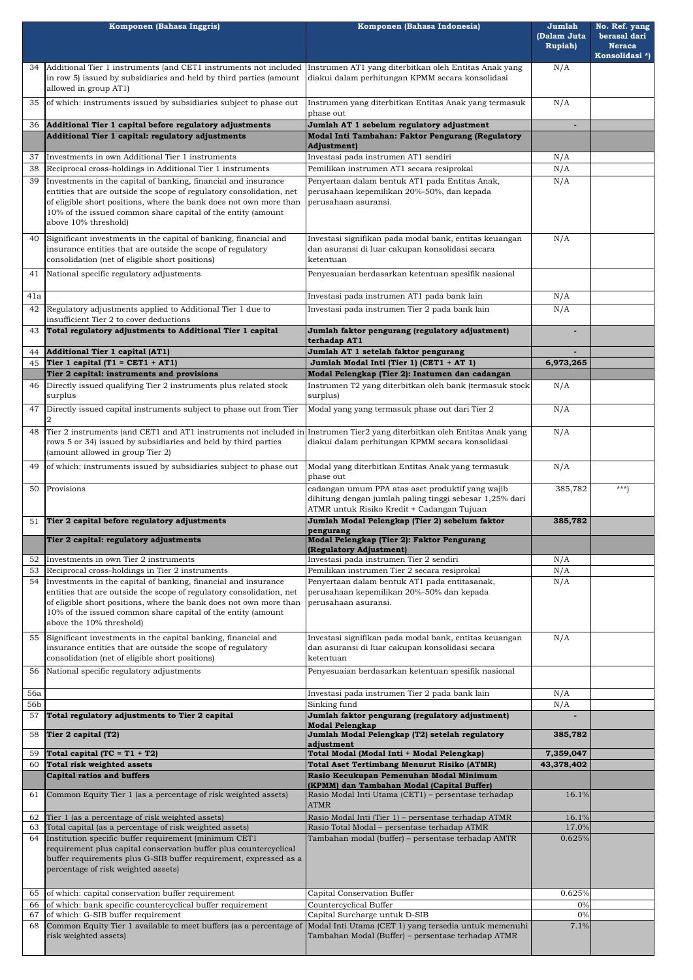| Komponen (Bahasa Inggris) |                                                                                                                                                                                                                                        | Komponen (Bahasa Indonesia)                                                                                                                               | Jumlah                         | No. Ref. yang                 |
|---------------------------|----------------------------------------------------------------------------------------------------------------------------------------------------------------------------------------------------------------------------------------|-----------------------------------------------------------------------------------------------------------------------------------------------------------|--------------------------------|-------------------------------|
|                           |                                                                                                                                                                                                                                        |                                                                                                                                                           | (Dalam Juta<br><b>Rupiah</b> ) | berasal dari<br><b>Neraca</b> |
|                           |                                                                                                                                                                                                                                        |                                                                                                                                                           |                                | Konsolidasi*)                 |
| 34.                       | Additional Tier 1 instruments (and CET1 instruments not included Instrumen AT1 yang diterbitkan oleh Entitas Anak yang<br>in row 5) issued by subsidiaries and held by third parties (amount<br>allowed in group AT1)                  | diakui dalam perhitungan KPMM secara konsolidasi                                                                                                          | N/A                            |                               |
| 35                        | of which: instruments issued by subsidiaries subject to phase out                                                                                                                                                                      | Instrumen yang diterbitkan Entitas Anak yang termasuk<br>phase out                                                                                        | N/A                            |                               |
| 36                        | Additional Tier 1 capital before regulatory adjustments                                                                                                                                                                                | Jumlah AT 1 sebelum regulatory adjustment                                                                                                                 |                                |                               |
|                           | Additional Tier 1 capital: regulatory adjustments                                                                                                                                                                                      | Modal Inti Tambahan: Faktor Pengurang (Regulatory<br>Adjustment)                                                                                          |                                |                               |
| 37                        | Investments in own Additional Tier 1 instruments                                                                                                                                                                                       | Investasi pada instrumen AT1 sendiri                                                                                                                      | N/A                            |                               |
| 38                        | Reciprocal cross-holdings in Additional Tier 1 instruments                                                                                                                                                                             | Pemilikan instrumen AT1 secara resiprokal                                                                                                                 | N/A                            |                               |
| 39                        | Investments in the capital of banking, financial and insurance                                                                                                                                                                         | Penyertaan dalam bentuk AT1 pada Entitas Anak,                                                                                                            | N/A                            |                               |
|                           | entities that are outside the scope of regulatory consolidation, net<br>of eligible short positions, where the bank does not own more than<br>10% of the issued common share capital of the entity (amount<br>above 10% threshold)     | perusahaan kepemilikan 20%-50%, dan kepada<br>perusahaan asuransi.                                                                                        |                                |                               |
| 40                        | Significant investments in the capital of banking, financial and<br>insurance entities that are outside the scope of regulatory<br>consolidation (net of eligible short positions)                                                     | Investasi signifikan pada modal bank, entitas keuangan<br>dan asuransi di luar cakupan konsolidasi secara<br>ketentuan                                    | N/A                            |                               |
| 41                        | National specific regulatory adjustments                                                                                                                                                                                               | Penyesuaian berdasarkan ketentuan spesifik nasional                                                                                                       |                                |                               |
| 41a                       |                                                                                                                                                                                                                                        | Investasi pada instrumen AT1 pada bank lain                                                                                                               | N/A                            |                               |
| 42                        | Regulatory adjustments applied to Additional Tier 1 due to                                                                                                                                                                             | Investasi pada instrumen Tier 2 pada bank lain                                                                                                            | N/A                            |                               |
|                           | insufficient Tier 2 to cover deductions<br>Total regulatory adjustments to Additional Tier 1 capital                                                                                                                                   | Jumlah faktor pengurang (regulatory adjustment)                                                                                                           |                                |                               |
| 43                        |                                                                                                                                                                                                                                        | terhadap AT1                                                                                                                                              |                                |                               |
| 44                        | <b>Additional Tier 1 capital (AT1)</b>                                                                                                                                                                                                 | Jumlah AT 1 setelah faktor pengurang                                                                                                                      |                                |                               |
| 45                        | Tier 1 capital (T1 = CET1 + AT1)<br>Tier 2 capital: instruments and provisions                                                                                                                                                         | Jumlah Modal Inti (Tier 1) (CET1 + AT 1)<br>Modal Pelengkap (Tier 2): Instumen dan cadangan                                                               | 6,973,265                      |                               |
| 46                        | Directly issued qualifying Tier 2 instruments plus related stock                                                                                                                                                                       | Instrumen T2 yang diterbitkan oleh bank (termasuk stock                                                                                                   | N/A                            |                               |
|                           | surplus                                                                                                                                                                                                                                | surplus)                                                                                                                                                  |                                |                               |
| 47                        | Directly issued capital instruments subject to phase out from Tier                                                                                                                                                                     | Modal yang yang termasuk phase out dari Tier 2                                                                                                            | N/A                            |                               |
| 48                        | Tier 2 instruments (and CET1 and AT1 instruments not included in Instrumen Tier2 yang diterbitkan oleh Entitas Anak yang<br>rows 5 or 34) issued by subsidiaries and held by third parties<br>(amount allowed in group Tier 2)         | diakui dalam perhitungan KPMM secara konsolidasi                                                                                                          | N/A                            |                               |
| 49                        | of which: instruments issued by subsidiaries subject to phase out                                                                                                                                                                      | Modal yang diterbitkan Entitas Anak yang termasuk<br>phase out                                                                                            | N/A                            |                               |
| 50                        | Provisions                                                                                                                                                                                                                             | cadangan umum PPA atas aset produktif yang wajib<br>dihitung dengan jumlah paling tinggi sebesar 1,25% dari<br>ATMR untuk Risiko Kredit + Cadangan Tujuan | 385,782                        | $***$                         |
| 51                        | Tier 2 capital before regulatory adjustments                                                                                                                                                                                           | Jumlah Modal Pelengkap (Tier 2) sebelum faktor                                                                                                            | 385,782                        |                               |
|                           | Tier 2 capital: regulatory adjustments                                                                                                                                                                                                 | pengurang<br>Modal Pelengkap (Tier 2): Faktor Pengurang                                                                                                   |                                |                               |
|                           |                                                                                                                                                                                                                                        | (Regulatory Adjustment)                                                                                                                                   |                                |                               |
| 52<br>53                  | Investments in own Tier 2 instruments<br>Reciprocal cross-holdings in Tier 2 instruments                                                                                                                                               | Investasi pada instrumen Tier 2 sendiri<br>Pemilikan instrumen Tier 2 secara resiprokal                                                                   | N/A<br>N/A                     |                               |
| 54                        | Investments in the capital of banking, financial and insurance                                                                                                                                                                         | Penyertaan dalam bentuk AT1 pada entitasanak,                                                                                                             | N/A                            |                               |
|                           | entities that are outside the scope of regulatory consolidation, net<br>of eligible short positions, where the bank does not own more than<br>10% of the issued common share capital of the entity (amount<br>above the 10% threshold) | perusahaan kepemilikan 20%-50% dan kepada<br>perusahaan asuransi.                                                                                         |                                |                               |
| 55                        | Significant investments in the capital banking, financial and<br>insurance entities that are outside the scope of regulatory<br>consolidation (net of eligible short positions)                                                        | Investasi signifikan pada modal bank, entitas keuangan<br>dan asuransi di luar cakupan konsolidasi secara<br>ketentuan                                    | N/A                            |                               |
| 56                        | National specific regulatory adjustments                                                                                                                                                                                               | Penyesuaian berdasarkan ketentuan spesifik nasional                                                                                                       |                                |                               |
| 56a                       |                                                                                                                                                                                                                                        | Investasi pada instrumen Tier 2 pada bank lain                                                                                                            | N/A                            |                               |
| 56b                       |                                                                                                                                                                                                                                        | Sinking fund                                                                                                                                              | N/A                            |                               |
| 57<br>58                  | Total regulatory adjustments to Tier 2 capital<br>Tier 2 capital (T2)                                                                                                                                                                  | Jumlah faktor pengurang (regulatory adjustment)<br><b>Modal Pelengkap</b><br>Jumlah Modal Pelengkap (T2) setelah regulatory                               | 385,782                        |                               |
| 59                        | Total capital $(TC = T1 + T2)$                                                                                                                                                                                                         | adjustment<br>Total Modal (Modal Inti + Modal Pelengkap)                                                                                                  | 7,359,047                      |                               |
| 60                        | Total risk weighted assets                                                                                                                                                                                                             | Total Aset Tertimbang Menurut Risiko (ATMR)                                                                                                               | 43,378,402                     |                               |
|                           | <b>Capital ratios and buffers</b>                                                                                                                                                                                                      | Rasio Kecukupan Pemenuhan Modal Minimum                                                                                                                   |                                |                               |
| 61                        | Common Equity Tier 1 (as a percentage of risk weighted assets)                                                                                                                                                                         | (KPMM) dan Tambahan Modal (Capital Buffer)<br>Rasio Modal Inti Utama (CET1) - persentase terhadap<br><b>ATMR</b>                                          | 16.1%                          |                               |
| 62                        | Tier 1 (as a percentage of risk weighted assets)                                                                                                                                                                                       | Rasio Modal Inti (Tier 1) - persentase terhadap ATMR                                                                                                      | 16.1%                          |                               |
| 63<br>64                  | Total capital (as a percentage of risk weighted assets)<br>Institution specific buffer requirement (minimum CET1                                                                                                                       | Rasio Total Modal - persentase terhadap ATMR<br>Tambahan modal (buffer) - persentase terhadap AMTR                                                        | 17.0%<br>0.625%                |                               |
|                           | requirement plus capital conservation buffer plus countercyclical<br>buffer requirements plus G-SIB buffer requirement, expressed as a<br>percentage of risk weighted assets)                                                          |                                                                                                                                                           |                                |                               |
| 65                        | of which: capital conservation buffer requirement                                                                                                                                                                                      | Capital Conservation Buffer                                                                                                                               | 0.625%                         |                               |
| 66                        | of which: bank specific countercyclical buffer requirement                                                                                                                                                                             | Countercyclical Buffer                                                                                                                                    | 0%                             |                               |
| 67<br>68                  | of which: G-SIB buffer requirement<br>Common Equity Tier 1 available to meet buffers (as a percentage of                                                                                                                               | Capital Surcharge untuk D-SIB<br>Modal Inti Utama (CET 1) yang tersedia untuk memenuhi                                                                    | 0%<br>7.1%                     |                               |
|                           | risk weighted assets)                                                                                                                                                                                                                  | Tambahan Modal (Buffer) - persentase terhadap ATMR                                                                                                        |                                |                               |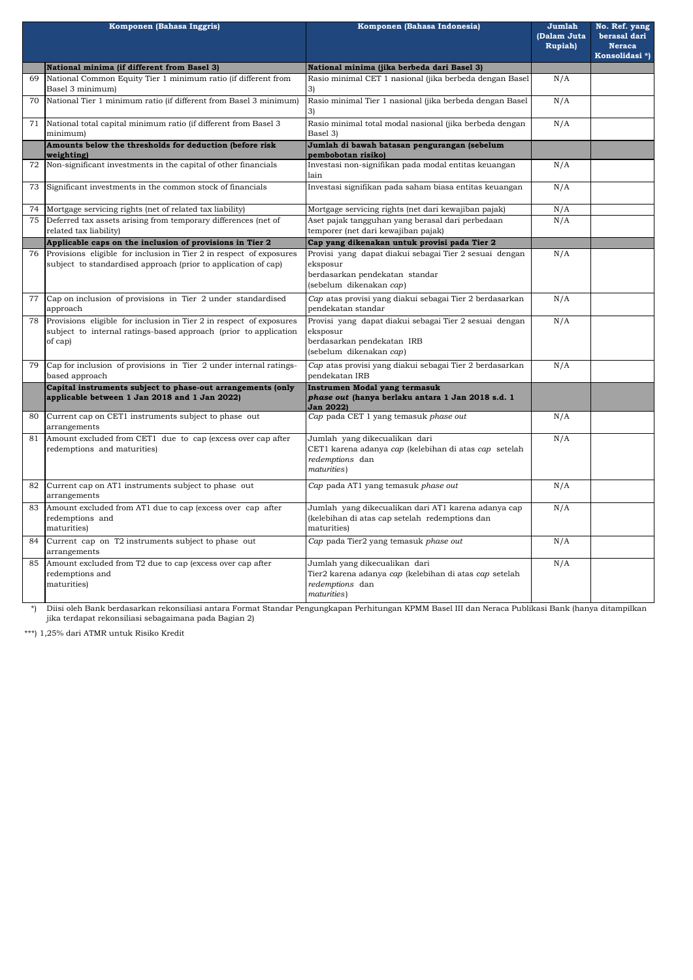| Komponen (Bahasa Inggris) |                                                                                                                                                    | Komponen (Bahasa Indonesia)                                                                                                             | Jumlah<br>(Dalam Juta<br><b>Rupiah</b> ) | No. Ref. yang<br>berasal dari<br><b>Neraca</b><br>Konsolidasi*) |
|---------------------------|----------------------------------------------------------------------------------------------------------------------------------------------------|-----------------------------------------------------------------------------------------------------------------------------------------|------------------------------------------|-----------------------------------------------------------------|
|                           | National minima (if different from Basel 3)                                                                                                        | National minima (jika berbeda dari Basel 3)                                                                                             |                                          |                                                                 |
| 69                        | National Common Equity Tier 1 minimum ratio (if different from<br>Basel 3 minimum)                                                                 | Rasio minimal CET 1 nasional (jika berbeda dengan Basel<br>3)                                                                           | N/A                                      |                                                                 |
| 70                        | National Tier 1 minimum ratio (if different from Basel 3 minimum)                                                                                  | Rasio minimal Tier 1 nasional (jika berbeda dengan Basel<br>3)                                                                          | N/A                                      |                                                                 |
| 71                        | National total capital minimum ratio (if different from Basel 3<br>minimum)                                                                        | Rasio minimal total modal nasional (jika berbeda dengan<br>Basel 3)                                                                     | N/A                                      |                                                                 |
|                           | Amounts below the thresholds for deduction (before risk<br>weighting)                                                                              | Jumlah di bawah batasan pengurangan (sebelum<br>pembobotan risiko)                                                                      |                                          |                                                                 |
| 72                        | Non-significant investments in the capital of other financials                                                                                     | Investasi non-signifikan pada modal entitas keuangan<br>lain                                                                            | N/A                                      |                                                                 |
| 73                        | Significant investments in the common stock of financials                                                                                          | Investasi signifikan pada saham biasa entitas keuangan                                                                                  | N/A                                      |                                                                 |
| 74                        | Mortgage servicing rights (net of related tax liability)                                                                                           | Mortgage servicing rights (net dari kewajiban pajak)                                                                                    | N/A                                      |                                                                 |
| 75                        | Deferred tax assets arising from temporary differences (net of<br>related tax liability)                                                           | Aset pajak tangguhan yang berasal dari perbedaan<br>temporer (net dari kewajiban pajak)                                                 | N/A                                      |                                                                 |
|                           | Applicable caps on the inclusion of provisions in Tier 2                                                                                           | Cap yang dikenakan untuk provisi pada Tier 2                                                                                            |                                          |                                                                 |
| 76                        | Provisions eligible for inclusion in Tier 2 in respect of exposures<br>subject to standardised approach (prior to application of cap)              | Provisi yang dapat diakui sebagai Tier 2 sesuai dengan<br>eksposur<br>berdasarkan pendekatan standar<br>(sebelum dikenakan cap)         | N/A                                      |                                                                 |
| 77                        | Cap on inclusion of provisions in Tier 2 under standardised<br>approach                                                                            | Cap atas provisi yang diakui sebagai Tier 2 berdasarkan<br>pendekatan standar                                                           | N/A                                      |                                                                 |
| 78                        | Provisions eligible for inclusion in Tier 2 in respect of exposures<br>subject to internal ratings-based approach (prior to application<br>of cap) | Provisi yang dapat diakui sebagai Tier 2 sesuai dengan<br>eksposur<br>berdasarkan pendekatan IRB<br>(sebelum dikenakan cap)             | N/A                                      |                                                                 |
| 79                        | Cap for inclusion of provisions in Tier 2 under internal ratings-<br>based approach                                                                | Cap atas provisi yang diakui sebagai Tier 2 berdasarkan<br>pendekatan IRB                                                               | N/A                                      |                                                                 |
|                           | Capital instruments subject to phase-out arrangements (only<br>applicable between 1 Jan 2018 and 1 Jan 2022)                                       | Instrumen Modal yang termasuk<br>phase out (hanya berlaku antara 1 Jan 2018 s.d. 1<br><b>Jan 2022)</b>                                  |                                          |                                                                 |
| 80                        | Current cap on CET1 instruments subject to phase out<br>arrangements                                                                               | Cap pada CET 1 yang temasuk phase out                                                                                                   | N/A                                      |                                                                 |
| 81                        | Amount excluded from CET1 due to cap (excess over cap after<br>redemptions and maturities)                                                         | Jumlah yang dikecualikan dari<br>CET1 karena adanya cap (kelebihan di atas cap setelah<br>redemptions dan<br>maturities)                | N/A                                      |                                                                 |
| 82                        | Current cap on AT1 instruments subject to phase out<br>arrangements                                                                                | Cap pada AT1 yang temasuk phase out                                                                                                     | N/A                                      |                                                                 |
| 83                        | Amount excluded from AT1 due to cap (excess over cap after<br>redemptions and<br>maturities)                                                       | Jumlah  yang dikecualikan dari AT1 karena adanya cap<br>(kelebihan di atas cap setelah redemptions dan<br>maturities)                   | N/A                                      |                                                                 |
| 84                        | Current cap on T2 instruments subject to phase out<br>arrangements                                                                                 | Cap pada Tier2 yang temasuk phase out                                                                                                   | N/A                                      |                                                                 |
| 85                        | Amount excluded from T2 due to cap (excess over cap after<br>redemptions and<br>maturities)                                                        | Jumlah yang dikecualikan dari<br>Tier2 karena adanya <i>cap</i> (kelebihan di atas <i>cap</i> setelah<br>redemptions dan<br>maturities) | N/A                                      |                                                                 |

\*\*\*) 1,25% dari ATMR untuk Risiko Kredit

\*) Diisi oleh Bank berdasarkan rekonsiliasi antara Format Standar Pengungkapan Perhitungan KPMM Basel III dan Neraca Publikasi Bank (hanya ditampilkan jika terdapat rekonsiliasi sebagaimana pada Bagian 2)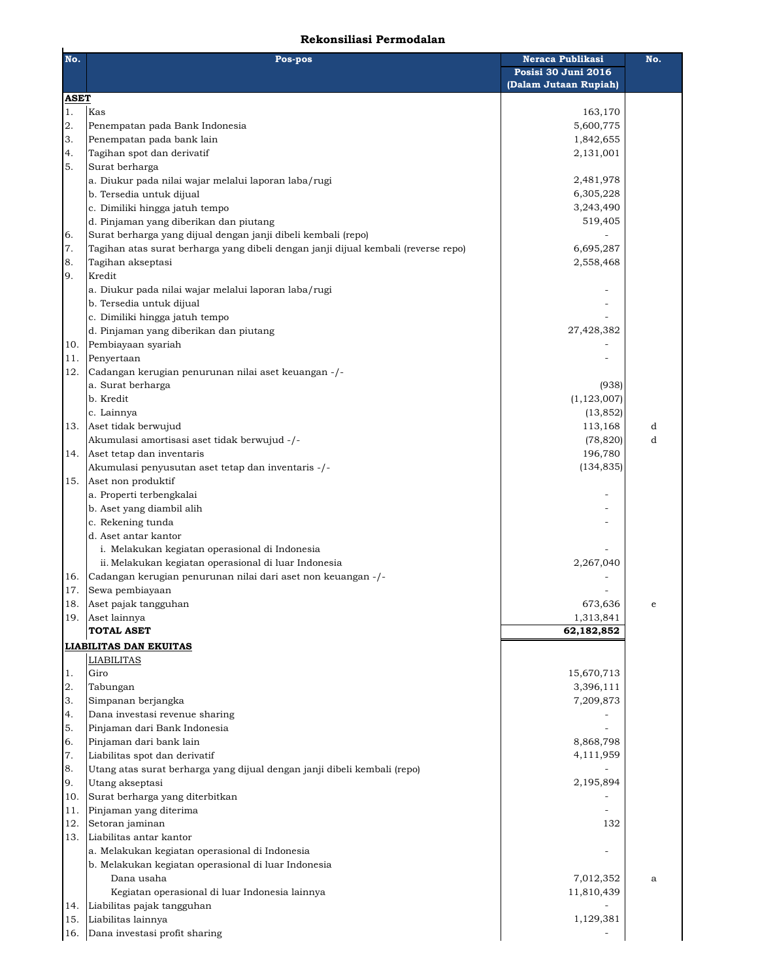## **Rekonsiliasi Permodalan**

| No.         | Pos-pos                                                                                                              | Neraca Publikasi<br>Posisi 30 Juni 2016<br>(Dalam Jutaan Rupiah) | No. |
|-------------|----------------------------------------------------------------------------------------------------------------------|------------------------------------------------------------------|-----|
| <b>ASET</b> |                                                                                                                      |                                                                  |     |
| 1.          | Kas                                                                                                                  | 163,170                                                          |     |
| 2.          | Penempatan pada Bank Indonesia                                                                                       | 5,600,775                                                        |     |
| 3.          | Penempatan pada bank lain                                                                                            | 1,842,655                                                        |     |
| 4.          | Tagihan spot dan derivatif                                                                                           | 2,131,001                                                        |     |
| 5.          | Surat berharga                                                                                                       |                                                                  |     |
|             | a. Diukur pada nilai wajar melalui laporan laba/rugi                                                                 | 2,481,978                                                        |     |
|             | b. Tersedia untuk dijual                                                                                             | 6,305,228                                                        |     |
|             | c. Dimiliki hingga jatuh tempo                                                                                       | 3,243,490                                                        |     |
|             | d. Pinjaman yang diberikan dan piutang                                                                               | 519,405                                                          |     |
| 6.          | Surat berharga yang dijual dengan janji dibeli kembali (repo)                                                        |                                                                  |     |
| 7.          | Tagihan atas surat berharga yang dibeli dengan janji dijual kembali (reverse repo)                                   | 6,695,287                                                        |     |
| 8.          | Tagihan akseptasi<br>Kredit                                                                                          | 2,558,468                                                        |     |
| 9.          | a. Diukur pada nilai wajar melalui laporan laba/rugi                                                                 |                                                                  |     |
|             | b. Tersedia untuk dijual                                                                                             |                                                                  |     |
|             | c. Dimiliki hingga jatuh tempo                                                                                       |                                                                  |     |
|             | d. Pinjaman yang diberikan dan piutang                                                                               | 27,428,382                                                       |     |
| 10.         | Pembiayaan syariah                                                                                                   |                                                                  |     |
| 11.         | Penyertaan                                                                                                           |                                                                  |     |
| 12.         | Cadangan kerugian penurunan nilai aset keuangan -/-                                                                  |                                                                  |     |
|             | a. Surat berharga                                                                                                    | (938)                                                            |     |
|             | b. Kredit                                                                                                            | (1, 123, 007)                                                    |     |
|             | c. Lainnya                                                                                                           | (13, 852)                                                        |     |
| 13.         | Aset tidak berwujud                                                                                                  | 113,168                                                          | d   |
|             | Akumulasi amortisasi aset tidak berwujud -/-                                                                         | (78, 820)                                                        | d   |
| 14.         | Aset tetap dan inventaris                                                                                            | 196,780                                                          |     |
|             | Akumulasi penyusutan aset tetap dan inventaris -/-                                                                   | (134, 835)                                                       |     |
| 15.         | Aset non produktif                                                                                                   |                                                                  |     |
|             | a. Properti terbengkalai                                                                                             |                                                                  |     |
|             | b. Aset yang diambil alih                                                                                            |                                                                  |     |
|             | c. Rekening tunda                                                                                                    |                                                                  |     |
|             | d. Aset antar kantor                                                                                                 |                                                                  |     |
|             | i. Melakukan kegiatan operasional di Indonesia                                                                       |                                                                  |     |
|             | ii. Melakukan kegiatan operasional di luar Indonesia<br>Cadangan kerugian penurunan nilai dari aset non keuangan -/- | 2,267,040                                                        |     |
| 16.<br>17.  | Sewa pembiayaan                                                                                                      |                                                                  |     |
| 18.         | Aset pajak tangguhan                                                                                                 | 673,636                                                          | e   |
|             | 19. Aset lainnya                                                                                                     | 1,313,841                                                        |     |
|             | <b>TOTAL ASET</b>                                                                                                    | 62,182,852                                                       |     |
|             | <b>LIABILITAS DAN EKUITAS</b>                                                                                        |                                                                  |     |
|             | <b>LIABILITAS</b>                                                                                                    |                                                                  |     |
| 1.          | Giro                                                                                                                 | 15,670,713                                                       |     |
| 2.          | Tabungan                                                                                                             | 3,396,111                                                        |     |
| 3.          | Simpanan berjangka                                                                                                   | 7,209,873                                                        |     |
| 4.          | Dana investasi revenue sharing                                                                                       |                                                                  |     |
| 5.          | Pinjaman dari Bank Indonesia                                                                                         |                                                                  |     |
| 6.          | Pinjaman dari bank lain                                                                                              | 8,868,798                                                        |     |
| 7.          | Liabilitas spot dan derivatif                                                                                        | 4,111,959                                                        |     |
| 8.          | Utang atas surat berharga yang dijual dengan janji dibeli kembali (repo)                                             |                                                                  |     |
| 9.          | Utang akseptasi                                                                                                      | 2,195,894                                                        |     |
| 10.         | Surat berharga yang diterbitkan                                                                                      |                                                                  |     |
| 11.         | Pinjaman yang diterima                                                                                               |                                                                  |     |
| 12.         | Setoran jaminan                                                                                                      | 132                                                              |     |
| 13.         | Liabilitas antar kantor                                                                                              |                                                                  |     |
|             | a. Melakukan kegiatan operasional di Indonesia                                                                       |                                                                  |     |
|             | b. Melakukan kegiatan operasional di luar Indonesia                                                                  |                                                                  |     |
|             | Dana usaha                                                                                                           | 7,012,352                                                        | a   |
|             | Kegiatan operasional di luar Indonesia lainnya                                                                       | 11,810,439                                                       |     |
| 14.<br>15.  | Liabilitas pajak tangguhan<br>Liabilitas lainnya                                                                     | 1,129,381                                                        |     |
|             | 16. Dana investasi profit sharing                                                                                    |                                                                  |     |
|             |                                                                                                                      |                                                                  |     |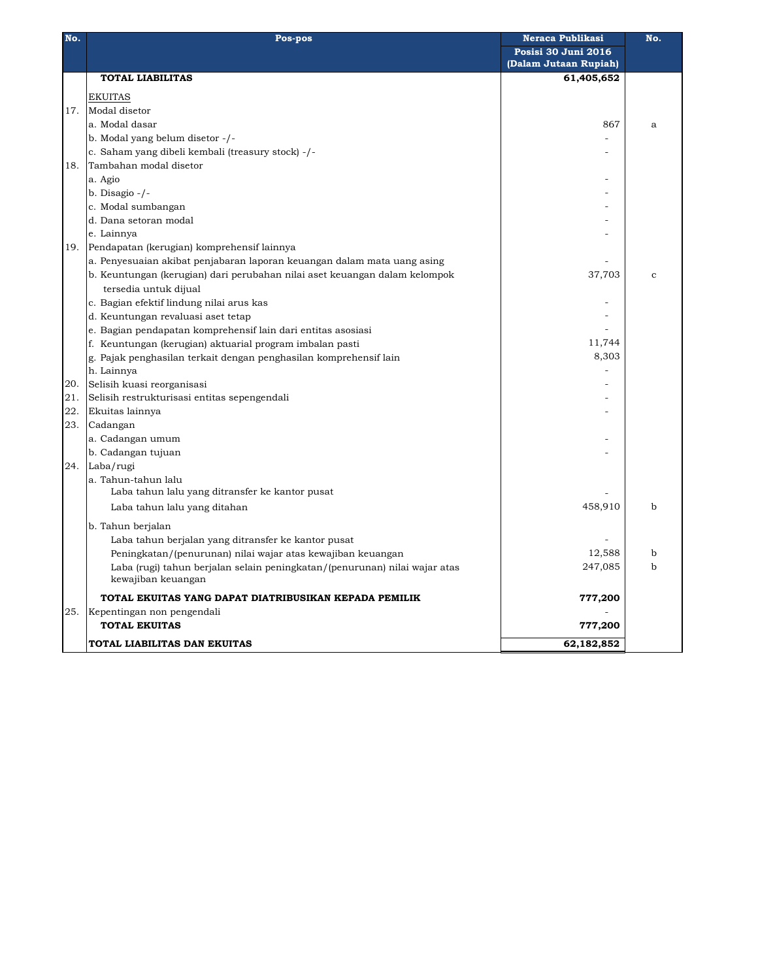| No. | Pos-pos                                                                    | Neraca Publikasi      | No.          |
|-----|----------------------------------------------------------------------------|-----------------------|--------------|
|     |                                                                            | Posisi 30 Juni 2016   |              |
|     |                                                                            | (Dalam Jutaan Rupiah) |              |
|     | <b>TOTAL LIABILITAS</b>                                                    | 61,405,652            |              |
|     | <b>EKUITAS</b>                                                             |                       |              |
|     | 17. Modal disetor                                                          |                       |              |
|     | a. Modal dasar                                                             | 867                   | a            |
|     | b. Modal yang belum disetor -/-                                            |                       |              |
|     | c. Saham yang dibeli kembali (treasury stock) -/-                          |                       |              |
| 18. | Tambahan modal disetor                                                     |                       |              |
|     | a. Agio                                                                    |                       |              |
|     | b. Disagio $-/-$                                                           |                       |              |
|     | c. Modal sumbangan                                                         |                       |              |
|     | d. Dana setoran modal                                                      |                       |              |
|     | e. Lainnya                                                                 |                       |              |
|     | 19. Pendapatan (kerugian) komprehensif lainnya                             |                       |              |
|     | a. Penyesuaian akibat penjabaran laporan keuangan dalam mata uang asing    |                       |              |
|     | b. Keuntungan (kerugian) dari perubahan nilai aset keuangan dalam kelompok | 37,703                | $\mathbf{c}$ |
|     | tersedia untuk dijual                                                      |                       |              |
|     | c. Bagian efektif lindung nilai arus kas                                   |                       |              |
|     | d. Keuntungan revaluasi aset tetap                                         |                       |              |
|     | e. Bagian pendapatan komprehensif lain dari entitas asosiasi               |                       |              |
|     | f. Keuntungan (kerugian) aktuarial program imbalan pasti                   | 11,744                |              |
|     | g. Pajak penghasilan terkait dengan penghasilan komprehensif lain          | 8,303                 |              |
|     | h. Lainnya                                                                 |                       |              |
| 20. | Selisih kuasi reorganisasi                                                 |                       |              |
| 21. | Selisih restrukturisasi entitas sepengendali                               |                       |              |
| 22. |                                                                            |                       |              |
| 23. | Ekuitas lainnya                                                            |                       |              |
|     | Cadangan                                                                   |                       |              |
|     | a. Cadangan umum                                                           |                       |              |
|     | b. Cadangan tujuan                                                         |                       |              |
|     | 24. Laba/rugi                                                              |                       |              |
|     | a. Tahun-tahun lalu<br>Laba tahun lalu yang ditransfer ke kantor pusat     |                       |              |
|     |                                                                            |                       |              |
|     | Laba tahun lalu yang ditahan                                               | 458,910               | b            |
|     | b. Tahun berjalan                                                          |                       |              |
|     | Laba tahun berjalan yang ditransfer ke kantor pusat                        |                       |              |
|     | Peningkatan/(penurunan) nilai wajar atas kewajiban keuangan                | 12,588                | b            |
|     | Laba (rugi) tahun berjalan selain peningkatan/(penurunan) nilai wajar atas | 247,085               | b            |
|     | kewajiban keuangan                                                         |                       |              |
|     | TOTAL EKUITAS YANG DAPAT DIATRIBUSIKAN KEPADA PEMILIK                      | 777,200               |              |
|     | 25. Kepentingan non pengendali                                             |                       |              |
|     | <b>TOTAL EKUITAS</b>                                                       | 777,200               |              |
|     | TOTAL LIABILITAS DAN EKUITAS                                               | 62,182,852            |              |